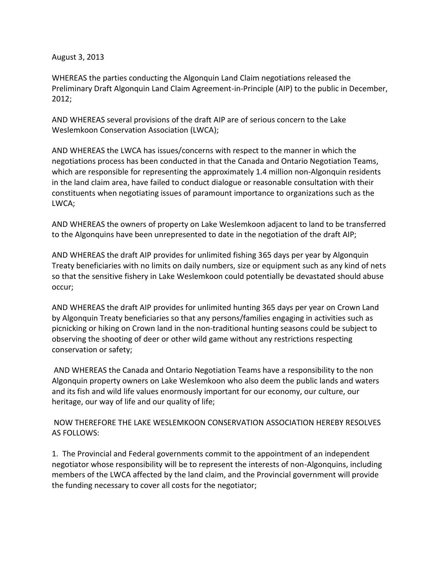August 3, 2013

WHEREAS the parties conducting the Algonquin Land Claim negotiations released the Preliminary Draft Algonquin Land Claim Agreement-in-Principle (AIP) to the public in December, 2012;

AND WHEREAS several provisions of the draft AIP are of serious concern to the Lake Weslemkoon Conservation Association (LWCA);

AND WHEREAS the LWCA has issues/concerns with respect to the manner in which the negotiations process has been conducted in that the Canada and Ontario Negotiation Teams, which are responsible for representing the approximately 1.4 million non-Algonquin residents in the land claim area, have failed to conduct dialogue or reasonable consultation with their constituents when negotiating issues of paramount importance to organizations such as the LWCA;

AND WHEREAS the owners of property on Lake Weslemkoon adjacent to land to be transferred to the Algonquins have been unrepresented to date in the negotiation of the draft AIP;

AND WHEREAS the draft AIP provides for unlimited fishing 365 days per year by Algonquin Treaty beneficiaries with no limits on daily numbers, size or equipment such as any kind of nets so that the sensitive fishery in Lake Weslemkoon could potentially be devastated should abuse occur;

AND WHEREAS the draft AIP provides for unlimited hunting 365 days per year on Crown Land by Algonquin Treaty beneficiaries so that any persons/families engaging in activities such as picnicking or hiking on Crown land in the non-traditional hunting seasons could be subject to observing the shooting of deer or other wild game without any restrictions respecting conservation or safety;

AND WHEREAS the Canada and Ontario Negotiation Teams have a responsibility to the non Algonquin property owners on Lake Weslemkoon who also deem the public lands and waters and its fish and wild life values enormously important for our economy, our culture, our heritage, our way of life and our quality of life;

NOW THEREFORE THE LAKE WESLEMKOON CONSERVATION ASSOCIATION HEREBY RESOLVES AS FOLLOWS:

1. The Provincial and Federal governments commit to the appointment of an independent negotiator whose responsibility will be to represent the interests of non-Algonquins, including members of the LWCA affected by the land claim, and the Provincial government will provide the funding necessary to cover all costs for the negotiator;